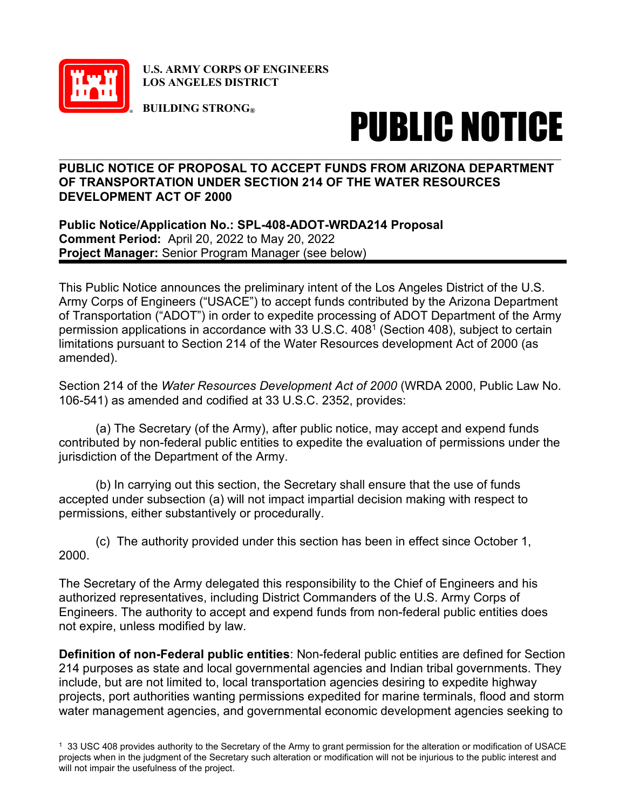

**U.S. ARMY CORPS OF ENGINEERS LOS ANGELES DISTRICT**

**BUILDING STRONG®**

## PUBLIC NOTICE

## **PUBLIC NOTICE OF PROPOSAL TO ACCEPT FUNDS FROM ARIZONA DEPARTMENT OF TRANSPORTATION UNDER SECTION 214 OF THE WATER RESOURCES DEVELOPMENT ACT OF 2000**

**Public Notice/Application No.: SPL-408-ADOT-WRDA214 Proposal Comment Period:** April 20, 2022 to May 20, 2022 **Project Manager:** Senior Program Manager (see below)

This Public Notice announces the preliminary intent of the Los Angeles District of the U.S. Army Corps of Engineers ("USACE") to accept funds contributed by the Arizona Department of Transportation ("ADOT") in order to expedite processing of ADOT Department of the Army permission applications in accordance with 33 U.S.C. 4081 (Section 408), subject to certain limitations pursuant to Section 214 of the Water Resources development Act of 2000 (as amended).

Section 214 of the *Water Resources Development Act of 2000* (WRDA 2000, Public Law No. 106-541) as amended and codified at 33 U.S.C. 2352, provides:

(a) The Secretary (of the Army), after public notice, may accept and expend funds contributed by non-federal public entities to expedite the evaluation of permissions under the jurisdiction of the Department of the Army.

(b) In carrying out this section, the Secretary shall ensure that the use of funds accepted under subsection (a) will not impact impartial decision making with respect to permissions, either substantively or procedurally.

(c) The authority provided under this section has been in effect since October 1, 2000.

The Secretary of the Army delegated this responsibility to the Chief of Engineers and his authorized representatives, including District Commanders of the U.S. Army Corps of Engineers. The authority to accept and expend funds from non-federal public entities does not expire, unless modified by law.

**Definition of non-Federal public entities**: Non-federal public entities are defined for Section 214 purposes as state and local governmental agencies and Indian tribal governments. They include, but are not limited to, local transportation agencies desiring to expedite highway projects, port authorities wanting permissions expedited for marine terminals, flood and storm water management agencies, and governmental economic development agencies seeking to

<sup>1 33</sup> USC 408 provides authority to the Secretary of the Army to grant permission for the alteration or modification of USACE projects when in the judgment of the Secretary such alteration or modification will not be injurious to the public interest and will not impair the usefulness of the project.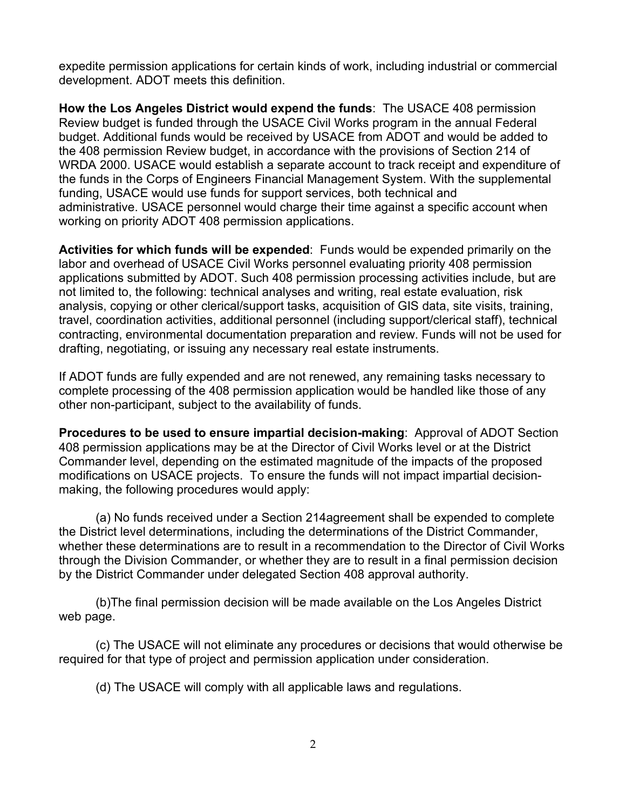expedite permission applications for certain kinds of work, including industrial or commercial development. ADOT meets this definition.

**How the Los Angeles District would expend the funds**: The USACE 408 permission Review budget is funded through the USACE Civil Works program in the annual Federal budget. Additional funds would be received by USACE from ADOT and would be added to the 408 permission Review budget, in accordance with the provisions of Section 214 of WRDA 2000. USACE would establish a separate account to track receipt and expenditure of the funds in the Corps of Engineers Financial Management System. With the supplemental funding, USACE would use funds for support services, both technical and administrative. USACE personnel would charge their time against a specific account when working on priority ADOT 408 permission applications.

**Activities for which funds will be expended**: Funds would be expended primarily on the labor and overhead of USACE Civil Works personnel evaluating priority 408 permission applications submitted by ADOT. Such 408 permission processing activities include, but are not limited to, the following: technical analyses and writing, real estate evaluation, risk analysis, copying or other clerical/support tasks, acquisition of GIS data, site visits, training, travel, coordination activities, additional personnel (including support/clerical staff), technical contracting, environmental documentation preparation and review. Funds will not be used for drafting, negotiating, or issuing any necessary real estate instruments.

If ADOT funds are fully expended and are not renewed, any remaining tasks necessary to complete processing of the 408 permission application would be handled like those of any other non-participant, subject to the availability of funds.

**Procedures to be used to ensure impartial decision-making**: Approval of ADOT Section 408 permission applications may be at the Director of Civil Works level or at the District Commander level, depending on the estimated magnitude of the impacts of the proposed modifications on USACE projects. To ensure the funds will not impact impartial decisionmaking, the following procedures would apply:

(a) No funds received under a Section 214agreement shall be expended to complete the District level determinations, including the determinations of the District Commander, whether these determinations are to result in a recommendation to the Director of Civil Works through the Division Commander, or whether they are to result in a final permission decision by the District Commander under delegated Section 408 approval authority.

(b)The final permission decision will be made available on the Los Angeles District web page.

(c) The USACE will not eliminate any procedures or decisions that would otherwise be required for that type of project and permission application under consideration.

(d) The USACE will comply with all applicable laws and regulations.